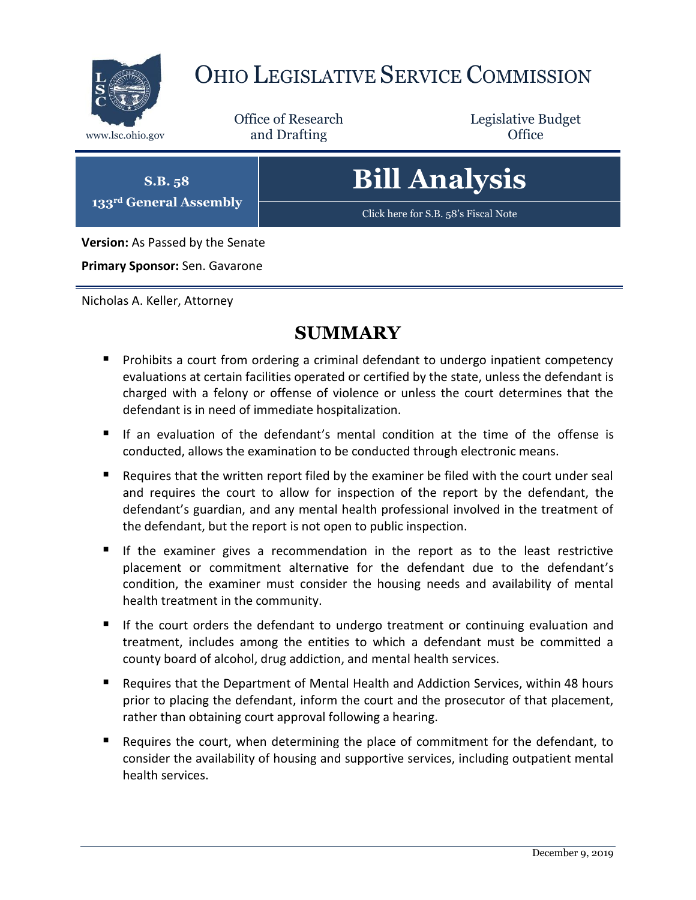

### OHIO LEGISLATIVE SERVICE COMMISSION

Office of Research www.lsc.ohio.gov **and Drafting Office** 

Legislative Budget

**S.B. 58 133rd General Assembly**

## **Bill Analysis**

[Click here for S.B. 58](https://www.legislature.ohio.gov/legislation/legislation-documents?id=GA133-SB-58)'s Fiscal Note

**Version:** As Passed by the Senate

**Primary Sponsor:** Sen. Gavarone

Nicholas A. Keller, Attorney

#### **SUMMARY**

- **Prohibits a court from ordering a criminal defendant to undergo inpatient competency** evaluations at certain facilities operated or certified by the state, unless the defendant is charged with a felony or offense of violence or unless the court determines that the defendant is in need of immediate hospitalization.
- If an evaluation of the defendant's mental condition at the time of the offense is conducted, allows the examination to be conducted through electronic means.
- Requires that the written report filed by the examiner be filed with the court under seal and requires the court to allow for inspection of the report by the defendant, the defendant's guardian, and any mental health professional involved in the treatment of the defendant, but the report is not open to public inspection.
- If the examiner gives a recommendation in the report as to the least restrictive placement or commitment alternative for the defendant due to the defendant's condition, the examiner must consider the housing needs and availability of mental health treatment in the community.
- If the court orders the defendant to undergo treatment or continuing evaluation and treatment, includes among the entities to which a defendant must be committed a county board of alcohol, drug addiction, and mental health services.
- Requires that the Department of Mental Health and Addiction Services, within 48 hours prior to placing the defendant, inform the court and the prosecutor of that placement, rather than obtaining court approval following a hearing.
- Requires the court, when determining the place of commitment for the defendant, to consider the availability of housing and supportive services, including outpatient mental health services.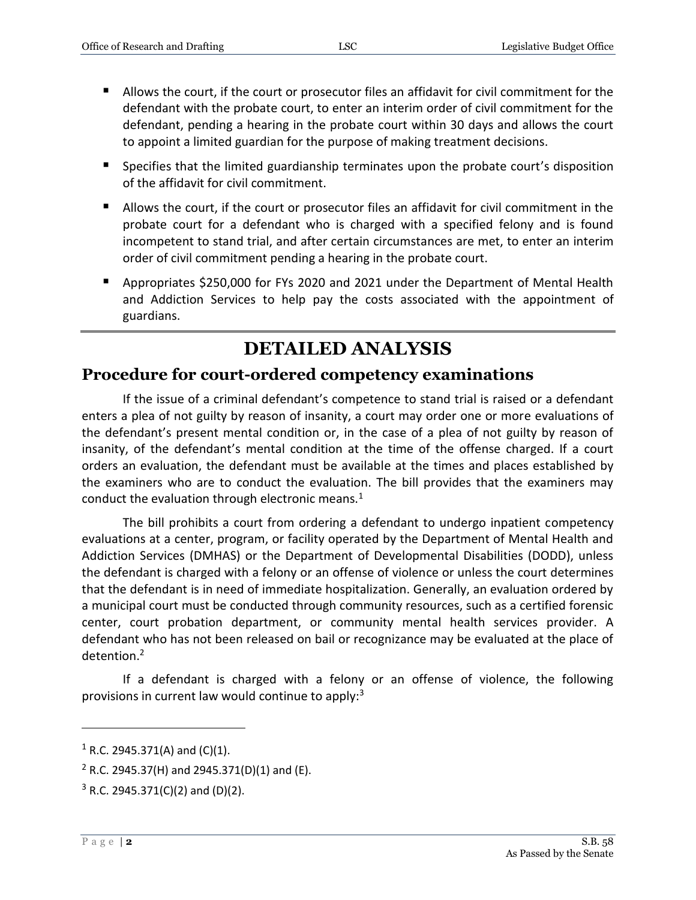- Allows the court, if the court or prosecutor files an affidavit for civil commitment for the defendant with the probate court, to enter an interim order of civil commitment for the defendant, pending a hearing in the probate court within 30 days and allows the court to appoint a limited guardian for the purpose of making treatment decisions.
- **Specifies that the limited guardianship terminates upon the probate court's disposition** of the affidavit for civil commitment.
- Allows the court, if the court or prosecutor files an affidavit for civil commitment in the probate court for a defendant who is charged with a specified felony and is found incompetent to stand trial, and after certain circumstances are met, to enter an interim order of civil commitment pending a hearing in the probate court.
- Appropriates \$250,000 for FYs 2020 and 2021 under the Department of Mental Health and Addiction Services to help pay the costs associated with the appointment of guardians.

#### **DETAILED ANALYSIS**

#### **Procedure for court-ordered competency examinations**

If the issue of a criminal defendant's competence to stand trial is raised or a defendant enters a plea of not guilty by reason of insanity, a court may order one or more evaluations of the defendant's present mental condition or, in the case of a plea of not guilty by reason of insanity, of the defendant's mental condition at the time of the offense charged. If a court orders an evaluation, the defendant must be available at the times and places established by the examiners who are to conduct the evaluation. The bill provides that the examiners may conduct the evaluation through electronic means.<sup>1</sup>

The bill prohibits a court from ordering a defendant to undergo inpatient competency evaluations at a center, program, or facility operated by the Department of Mental Health and Addiction Services (DMHAS) or the Department of Developmental Disabilities (DODD), unless the defendant is charged with a felony or an offense of violence or unless the court determines that the defendant is in need of immediate hospitalization. Generally, an evaluation ordered by a municipal court must be conducted through community resources, such as a certified forensic center, court probation department, or community mental health services provider. A defendant who has not been released on bail or recognizance may be evaluated at the place of detention.<sup>2</sup>

If a defendant is charged with a felony or an offense of violence, the following provisions in current law would continue to apply: $3$ 

 $1$  R.C. 2945.371(A) and (C)(1).

 $2$  R.C. 2945.37(H) and 2945.371(D)(1) and (E).

 $3$  R.C. 2945.371(C)(2) and (D)(2).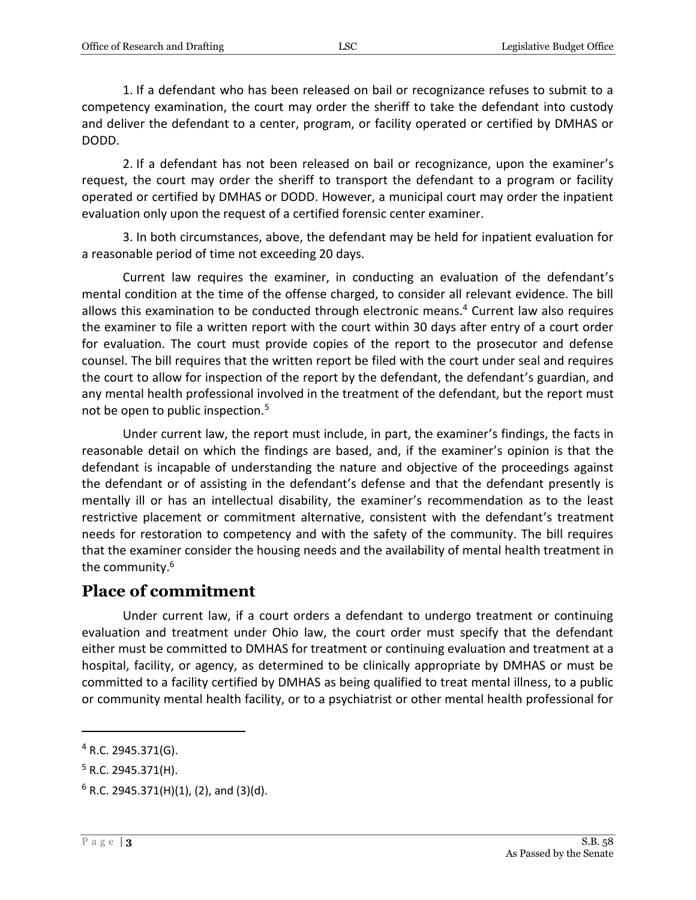1. If a defendant who has been released on bail or recognizance refuses to submit to a competency examination, the court may order the sheriff to take the defendant into custody and deliver the defendant to a center, program, or facility operated or certified by DMHAS or DODD.

2. If a defendant has not been released on bail or recognizance, upon the examiner's request, the court may order the sheriff to transport the defendant to a program or facility operated or certified by DMHAS or DODD. However, a municipal court may order the inpatient evaluation only upon the request of a certified forensic center examiner.

3. In both circumstances, above, the defendant may be held for inpatient evaluation for a reasonable period of time not exceeding 20 days.

Current law requires the examiner, in conducting an evaluation of the defendant's mental condition at the time of the offense charged, to consider all relevant evidence. The bill allows this examination to be conducted through electronic means.<sup>4</sup> Current law also requires the examiner to file a written report with the court within 30 days after entry of a court order for evaluation. The court must provide copies of the report to the prosecutor and defense counsel. The bill requires that the written report be filed with the court under seal and requires the court to allow for inspection of the report by the defendant, the defendant's guardian, and any mental health professional involved in the treatment of the defendant, but the report must not be open to public inspection. $5<sup>5</sup>$ 

Under current law, the report must include, in part, the examiner's findings, the facts in reasonable detail on which the findings are based, and, if the examiner's opinion is that the defendant is incapable of understanding the nature and objective of the proceedings against the defendant or of assisting in the defendant's defense and that the defendant presently is mentally ill or has an intellectual disability, the examiner's recommendation as to the least restrictive placement or commitment alternative, consistent with the defendant's treatment needs for restoration to competency and with the safety of the community. The bill requires that the examiner consider the housing needs and the availability of mental health treatment in the community.<sup>6</sup>

#### **Place of commitment**

Under current law, if a court orders a defendant to undergo treatment or continuing evaluation and treatment under Ohio law, the court order must specify that the defendant either must be committed to DMHAS for treatment or continuing evaluation and treatment at a hospital, facility, or agency, as determined to be clinically appropriate by DMHAS or must be committed to a facility certified by DMHAS as being qualified to treat mental illness, to a public or community mental health facility, or to a psychiatrist or other mental health professional for

 $4$  R.C. 2945.371(G).

 $5$  R.C. 2945.371(H).

 $6$  R.C. 2945.371(H)(1), (2), and (3)(d).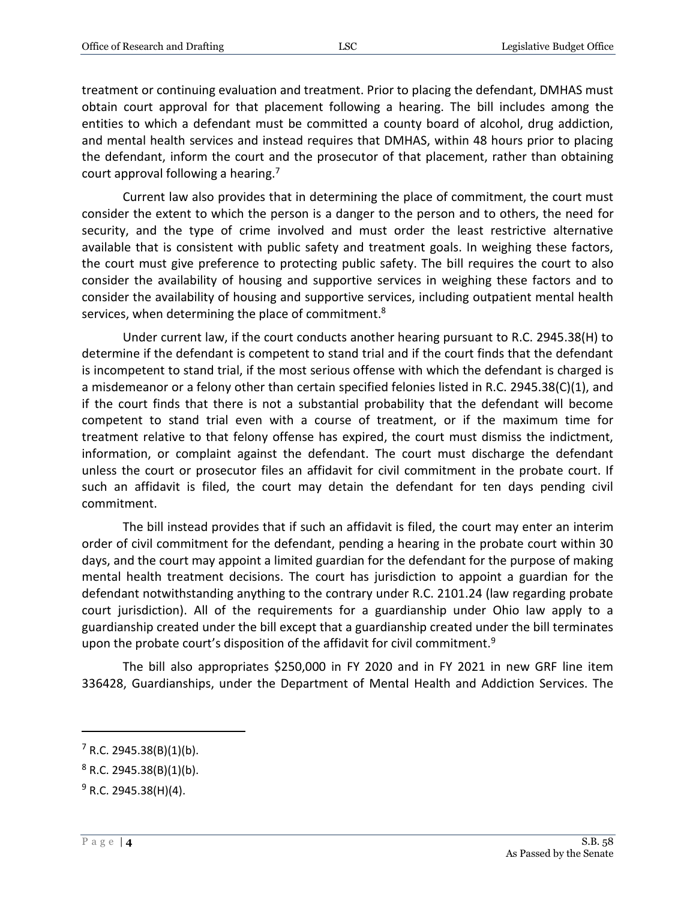treatment or continuing evaluation and treatment. Prior to placing the defendant, DMHAS must obtain court approval for that placement following a hearing. The bill includes among the entities to which a defendant must be committed a county board of alcohol, drug addiction, and mental health services and instead requires that DMHAS, within 48 hours prior to placing the defendant, inform the court and the prosecutor of that placement, rather than obtaining court approval following a hearing.<sup>7</sup>

Current law also provides that in determining the place of commitment, the court must consider the extent to which the person is a danger to the person and to others, the need for security, and the type of crime involved and must order the least restrictive alternative available that is consistent with public safety and treatment goals. In weighing these factors, the court must give preference to protecting public safety. The bill requires the court to also consider the availability of housing and supportive services in weighing these factors and to consider the availability of housing and supportive services, including outpatient mental health services, when determining the place of commitment.<sup>8</sup>

Under current law, if the court conducts another hearing pursuant to R.C. 2945.38(H) to determine if the defendant is competent to stand trial and if the court finds that the defendant is incompetent to stand trial, if the most serious offense with which the defendant is charged is a misdemeanor or a felony other than certain specified felonies listed in R.C. 2945.38(C)(1), and if the court finds that there is not a substantial probability that the defendant will become competent to stand trial even with a course of treatment, or if the maximum time for treatment relative to that felony offense has expired, the court must dismiss the indictment, information, or complaint against the defendant. The court must discharge the defendant unless the court or prosecutor files an affidavit for civil commitment in the probate court. If such an affidavit is filed, the court may detain the defendant for ten days pending civil commitment.

The bill instead provides that if such an affidavit is filed, the court may enter an interim order of civil commitment for the defendant, pending a hearing in the probate court within 30 days, and the court may appoint a limited guardian for the defendant for the purpose of making mental health treatment decisions. The court has jurisdiction to appoint a guardian for the defendant notwithstanding anything to the contrary under R.C. 2101.24 (law regarding probate court jurisdiction). All of the requirements for a guardianship under Ohio law apply to a guardianship created under the bill except that a guardianship created under the bill terminates upon the probate court's disposition of the affidavit for civil commitment.<sup>9</sup>

The bill also appropriates \$250,000 in FY 2020 and in FY 2021 in new GRF line item 336428, Guardianships, under the Department of Mental Health and Addiction Services. The

 $7$  R.C. 2945.38(B)(1)(b).

 $8$  R.C. 2945.38(B)(1)(b).

 $9$  R.C. 2945.38(H)(4).